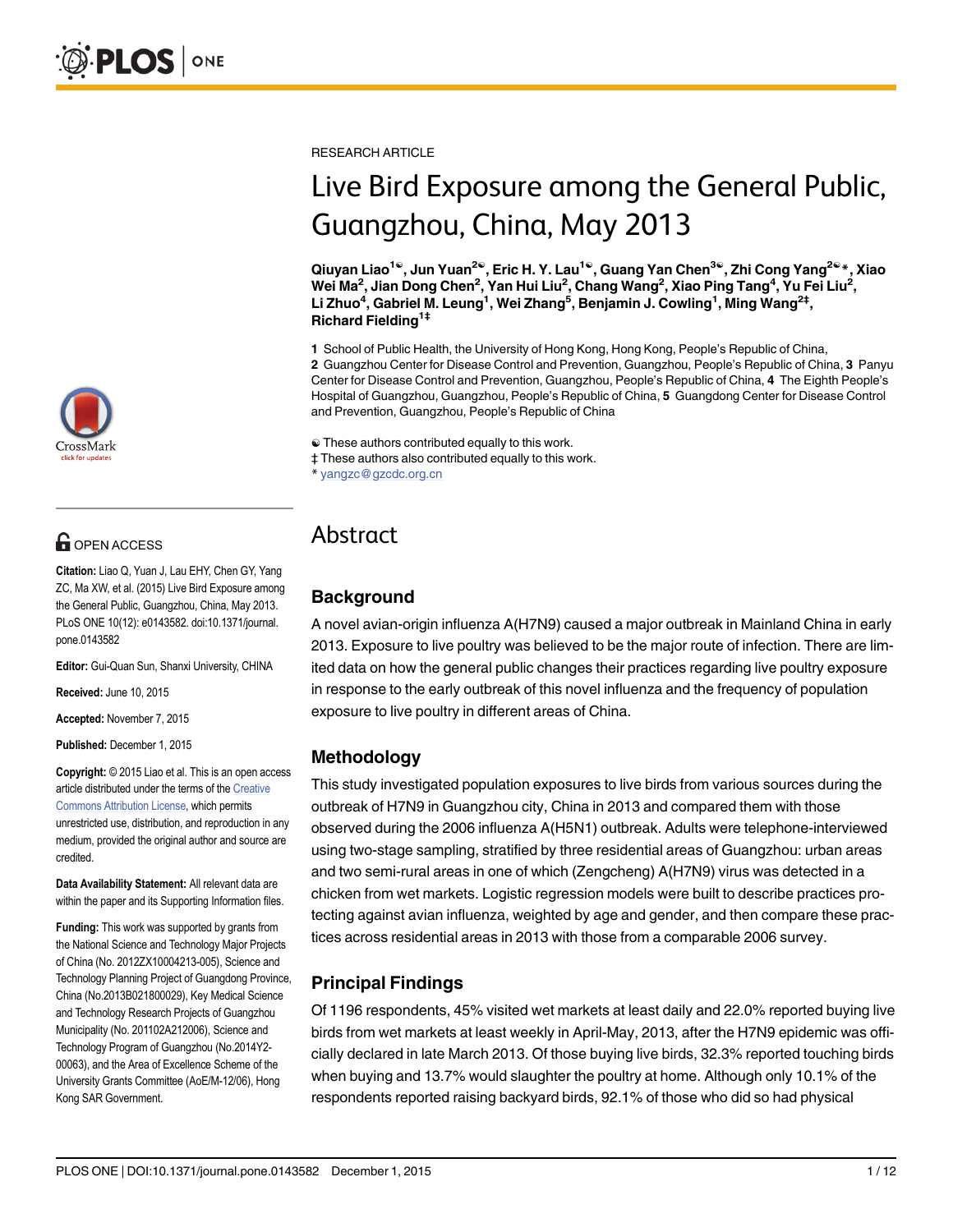

# **OPEN ACCESS**

Citation: Liao Q, Yuan J, Lau EHY, Chen GY, Yang ZC, Ma XW, et al. (2015) Live Bird Exposure among the General Public, Guangzhou, China, May 2013. PLoS ONE 10(12): e0143582. doi:10.1371/journal. pone.0143582

Editor: Gui-Quan Sun, Shanxi University, CHINA

Received: June 10, 2015

Accepted: November 7, 2015

Published: December 1, 2015

Copyright: © 2015 Liao et al. This is an open access article distributed under the terms of the [Creative](http://creativecommons.org/licenses/by/4.0/) [Commons Attribution License](http://creativecommons.org/licenses/by/4.0/), which permits unrestricted use, distribution, and reproduction in any medium, provided the original author and source are credited.

Data Availability Statement: All relevant data are within the paper and its Supporting Information files.

Funding: This work was supported by grants from the National Science and Technology Major Projects of China (No. 2012ZX10004213-005), Science and Technology Planning Project of Guangdong Province, China (No.2013B021800029), Key Medical Science and Technology Research Projects of Guangzhou Municipality (No. 201102A212006), Science and Technology Program of Guangzhou (No.2014Y2- 00063), and the Area of Excellence Scheme of the University Grants Committee (AoE/M-12/06), Hong Kong SAR Government.

RESEARCH ARTICLE

# Live Bird Exposure among the General Public, Guangzhou, China, May 2013

Qiuyan Liao1☯, Jun Yuan2☯, Eric H. Y. Lau1☯, Guang Yan Chen3☯, Zhi Cong Yang2☯\*, Xiao Wei Ma $^2$ , Jian Dong Chen $^2$ , Yan Hui Liu $^2$ , Chang Wang $^2$ , Xiao Ping Tang $^4$ , Yu Fei Liu $^2$ , Li Zhuo<sup>4</sup>, Gabriel M. Leung<sup>1</sup>, Wei Zhang<sup>5</sup>, Benjamin J. Cowling<sup>1</sup>, Ming Wang<sup>2‡</sup>, Richard Fielding1‡

1 School of Public Health, the University of Hong Kong, Hong Kong, People's Republic of China, 2 Guangzhou Center for Disease Control and Prevention, Guangzhou, People's Republic of China, 3 Panyu Center for Disease Control and Prevention, Guangzhou, People's Republic of China, 4 The Eighth People's Hospital of Guangzhou, Guangzhou, People's Republic of China, 5 Guangdong Center for Disease Control and Prevention, Guangzhou, People's Republic of China

☯ These authors contributed equally to this work.

‡ These authors also contributed equally to this work.

yangzc@gzcdc.org.cn

# Abstract

# Background

A novel avian-origin influenza A(H7N9) caused a major outbreak in Mainland China in early 2013. Exposure to live poultry was believed to be the major route of infection. There are limited data on how the general public changes their practices regarding live poultry exposure in response to the early outbreak of this novel influenza and the frequency of population exposure to live poultry in different areas of China.

# Methodology

This study investigated population exposures to live birds from various sources during the outbreak of H7N9 in Guangzhou city, China in 2013 and compared them with those observed during the 2006 influenza A(H5N1) outbreak. Adults were telephone-interviewed using two-stage sampling, stratified by three residential areas of Guangzhou: urban areas and two semi-rural areas in one of which (Zengcheng) A(H7N9) virus was detected in a chicken from wet markets. Logistic regression models were built to describe practices protecting against avian influenza, weighted by age and gender, and then compare these practices across residential areas in 2013 with those from a comparable 2006 survey.

# Principal Findings

Of 1196 respondents, 45% visited wet markets at least daily and 22.0% reported buying live birds from wet markets at least weekly in April-May, 2013, after the H7N9 epidemic was officially declared in late March 2013. Of those buying live birds, 32.3% reported touching birds when buying and 13.7% would slaughter the poultry at home. Although only 10.1% of the respondents reported raising backyard birds, 92.1% of those who did so had physical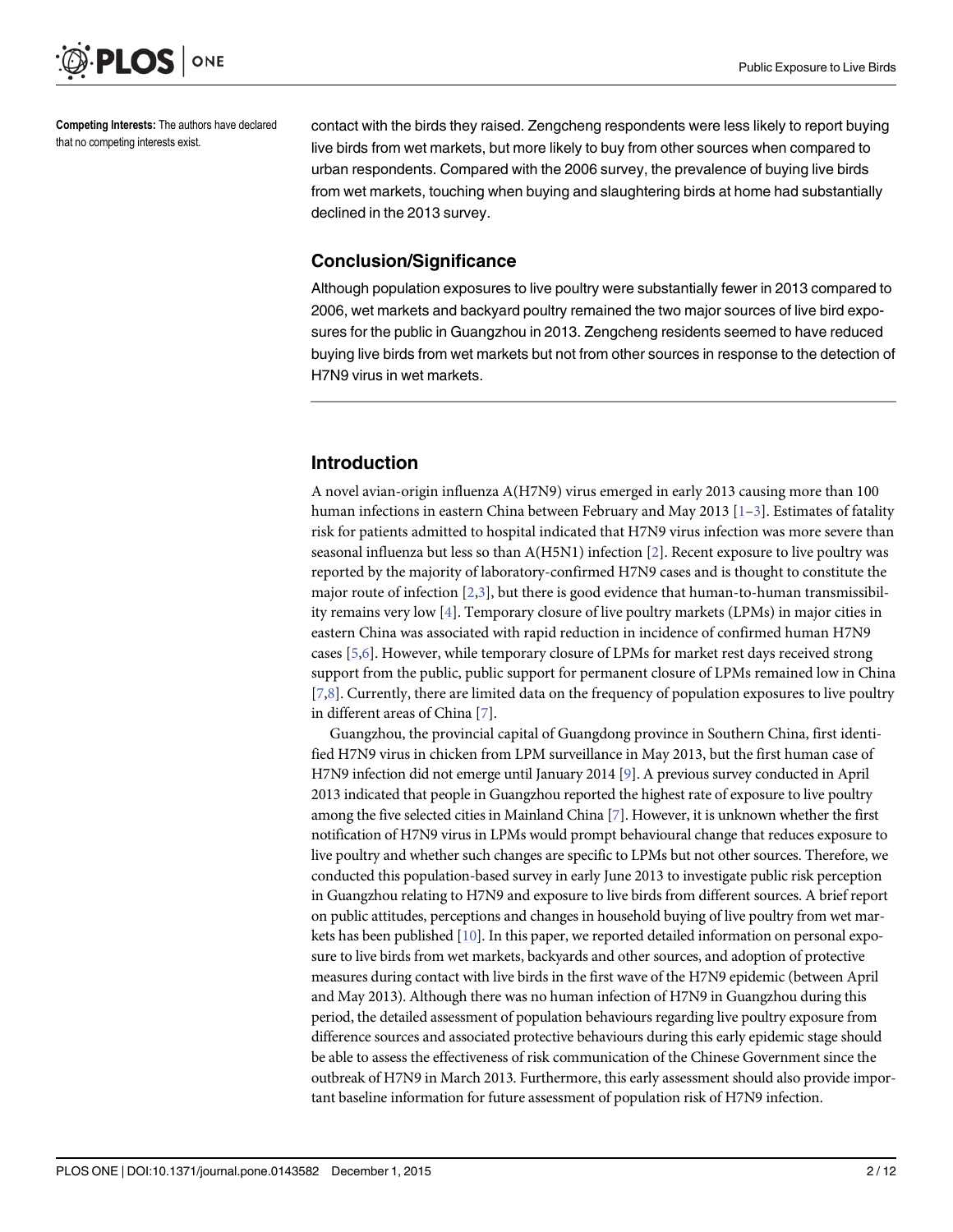<span id="page-1-0"></span>

Competing Interests: The authors have declared that no competing interests exist.

contact with the birds they raised. Zengcheng respondents were less likely to report buying live birds from wet markets, but more likely to buy from other sources when compared to urban respondents. Compared with the 2006 survey, the prevalence of buying live birds from wet markets, touching when buying and slaughtering birds at home had substantially declined in the 2013 survey.

#### Conclusion/Significance

Although population exposures to live poultry were substantially fewer in 2013 compared to 2006, wet markets and backyard poultry remained the two major sources of live bird exposures for the public in Guangzhou in 2013. Zengcheng residents seemed to have reduced buying live birds from wet markets but not from other sources in response to the detection of H7N9 virus in wet markets.

#### Introduction

A novel avian-origin influenza A(H7N9) virus emerged in early 2013 causing more than 100 human infections in eastern China between February and May 201[3](#page-10-0)  $[1-3]$  $[1-3]$ . Estimates of fatality risk for patients admitted to hospital indicated that H7N9 virus infection was more severe than seasonal influenza but less so than A(H5N1) infection [[2\]](#page-10-0). Recent exposure to live poultry was reported by the majority of laboratory-confirmed H7N9 cases and is thought to constitute the major route of infection [\[2,3](#page-10-0)], but there is good evidence that human-to-human transmissibility remains very low [[4\]](#page-10-0). Temporary closure of live poultry markets (LPMs) in major cities in eastern China was associated with rapid reduction in incidence of confirmed human H7N9 cases [[5](#page-10-0),[6](#page-10-0)]. However, while temporary closure of LPMs for market rest days received strong support from the public, public support for permanent closure of LPMs remained low in China [\[7,8](#page-10-0)]. Currently, there are limited data on the frequency of population exposures to live poultry in different areas of China [\[7\]](#page-10-0).

Guangzhou, the provincial capital of Guangdong province in Southern China, first identified H7N9 virus in chicken from LPM surveillance in May 2013, but the first human case of H7N9 infection did not emerge until January 2014 [\[9\]](#page-10-0). A previous survey conducted in April 2013 indicated that people in Guangzhou reported the highest rate of exposure to live poultry among the five selected cities in Mainland China [[7](#page-10-0)]. However, it is unknown whether the first notification of H7N9 virus in LPMs would prompt behavioural change that reduces exposure to live poultry and whether such changes are specific to LPMs but not other sources. Therefore, we conducted this population-based survey in early June 2013 to investigate public risk perception in Guangzhou relating to H7N9 and exposure to live birds from different sources. A brief report on public attitudes, perceptions and changes in household buying of live poultry from wet markets has been published [[10](#page-10-0)]. In this paper, we reported detailed information on personal exposure to live birds from wet markets, backyards and other sources, and adoption of protective measures during contact with live birds in the first wave of the H7N9 epidemic (between April and May 2013). Although there was no human infection of H7N9 in Guangzhou during this period, the detailed assessment of population behaviours regarding live poultry exposure from difference sources and associated protective behaviours during this early epidemic stage should be able to assess the effectiveness of risk communication of the Chinese Government since the outbreak of H7N9 in March 2013. Furthermore, this early assessment should also provide important baseline information for future assessment of population risk of H7N9 infection.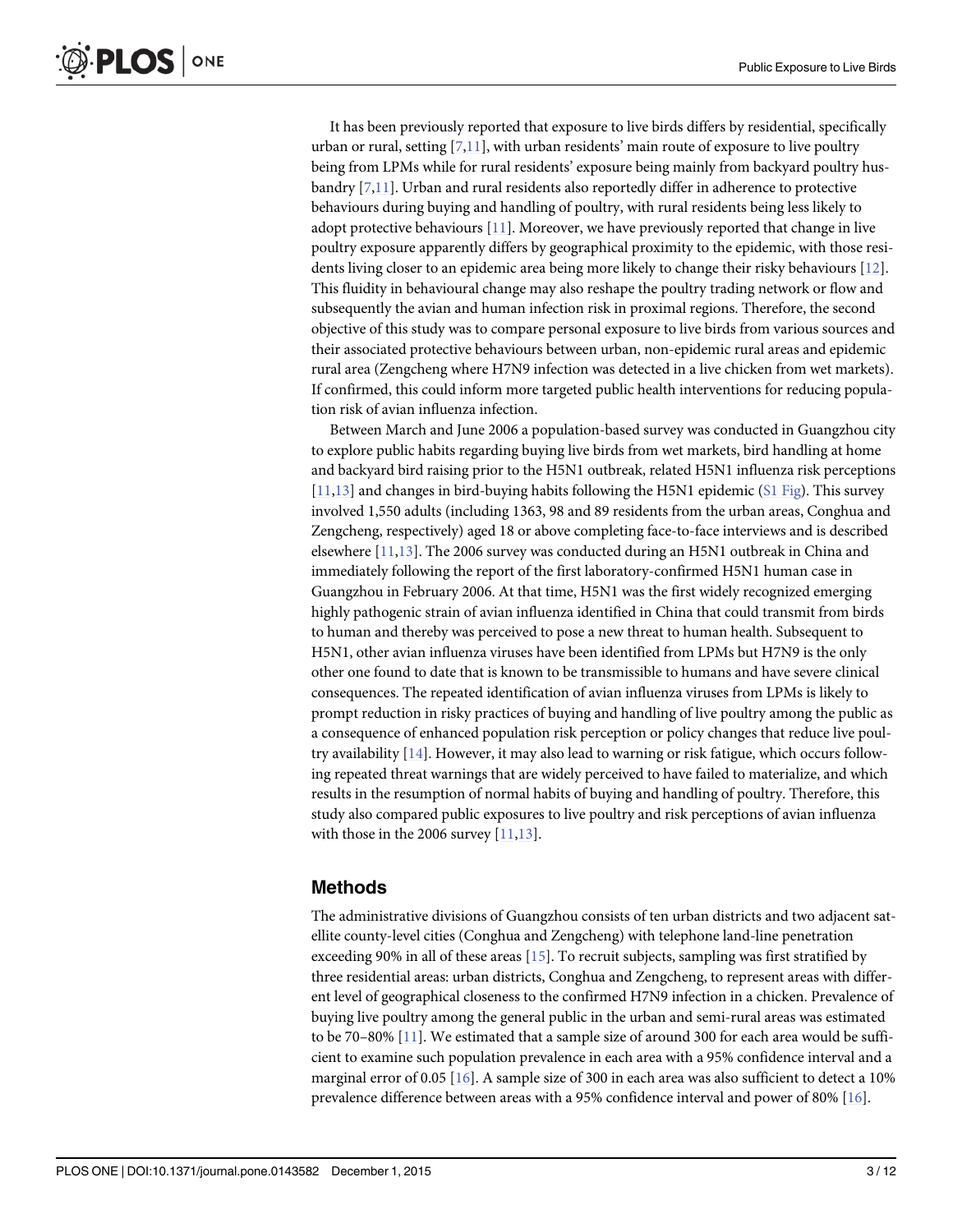<span id="page-2-0"></span>It has been previously reported that exposure to live birds differs by residential, specifically urban or rural, setting  $[7,11]$  $[7,11]$  $[7,11]$  $[7,11]$  $[7,11]$ , with urban residents' main route of exposure to live poultry being from LPMs while for rural residents' exposure being mainly from backyard poultry husbandry  $[7,11]$  $[7,11]$  $[7,11]$ . Urban and rural residents also reportedly differ in adherence to protective behaviours during buying and handling of poultry, with rural residents being less likely to adopt protective behaviours  $[11]$ . Moreover, we have previously reported that change in live poultry exposure apparently differs by geographical proximity to the epidemic, with those residents living closer to an epidemic area being more likely to change their risky behaviours [[12\]](#page-10-0). This fluidity in behavioural change may also reshape the poultry trading network or flow and subsequently the avian and human infection risk in proximal regions. Therefore, the second objective of this study was to compare personal exposure to live birds from various sources and their associated protective behaviours between urban, non-epidemic rural areas and epidemic rural area (Zengcheng where H7N9 infection was detected in a live chicken from wet markets). If confirmed, this could inform more targeted public health interventions for reducing population risk of avian influenza infection.

Between March and June 2006 a population-based survey was conducted in Guangzhou city to explore public habits regarding buying live birds from wet markets, bird handling at home and backyard bird raising prior to the H5N1 outbreak, related H5N1 influenza risk perceptions [\[11,13\]](#page-10-0) and changes in bird-buying habits following the H5N1 epidemic ([S1 Fig\)](#page-9-0). This survey involved 1,550 adults (including 1363, 98 and 89 residents from the urban areas, Conghua and Zengcheng, respectively) aged 18 or above completing face-to-face interviews and is described elsewhere [\[11,13\]](#page-10-0). The 2006 survey was conducted during an H5N1 outbreak in China and immediately following the report of the first laboratory-confirmed H5N1 human case in Guangzhou in February 2006. At that time, H5N1 was the first widely recognized emerging highly pathogenic strain of avian influenza identified in China that could transmit from birds to human and thereby was perceived to pose a new threat to human health. Subsequent to H5N1, other avian influenza viruses have been identified from LPMs but H7N9 is the only other one found to date that is known to be transmissible to humans and have severe clinical consequences. The repeated identification of avian influenza viruses from LPMs is likely to prompt reduction in risky practices of buying and handling of live poultry among the public as a consequence of enhanced population risk perception or policy changes that reduce live poultry availability  $[14]$ . However, it may also lead to warning or risk fatigue, which occurs following repeated threat warnings that are widely perceived to have failed to materialize, and which results in the resumption of normal habits of buying and handling of poultry. Therefore, this study also compared public exposures to live poultry and risk perceptions of avian influenza with those in the 2006 survey [\[11,13](#page-10-0)].

#### Methods

The administrative divisions of Guangzhou consists of ten urban districts and two adjacent satellite county-level cities (Conghua and Zengcheng) with telephone land-line penetration exceeding 90% in all of these areas [\[15\]](#page-10-0). To recruit subjects, sampling was first stratified by three residential areas: urban districts, Conghua and Zengcheng, to represent areas with different level of geographical closeness to the confirmed H7N9 infection in a chicken. Prevalence of buying live poultry among the general public in the urban and semi-rural areas was estimated to be 70–80% [\[11\]](#page-10-0). We estimated that a sample size of around 300 for each area would be sufficient to examine such population prevalence in each area with a 95% confidence interval and a marginal error of 0.05 [[16](#page-10-0)]. A sample size of 300 in each area was also sufficient to detect a 10% prevalence difference between areas with a 95% confidence interval and power of 80%  $[16]$  $[16]$  $[16]$ .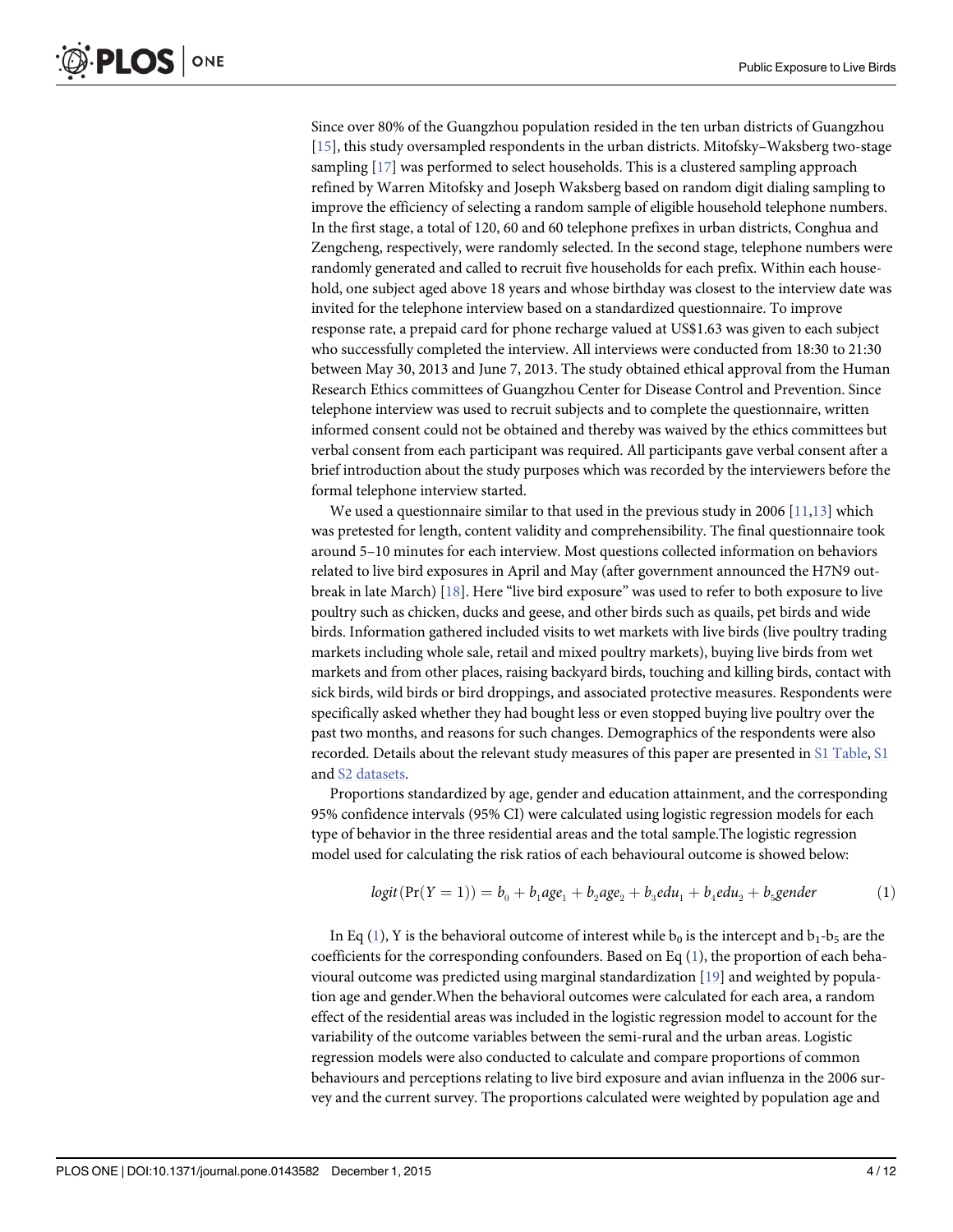<span id="page-3-0"></span>Since over 80% of the Guangzhou population resided in the ten urban districts of Guangzhou [\[15](#page-10-0)], this study oversampled respondents in the urban districts. Mitofsky–Waksberg two-stage sampling [\[17\]](#page-10-0) was performed to select households. This is a clustered sampling approach refined by Warren Mitofsky and Joseph Waksberg based on random digit dialing sampling to improve the efficiency of selecting a random sample of eligible household telephone numbers. In the first stage, a total of 120, 60 and 60 telephone prefixes in urban districts, Conghua and Zengcheng, respectively, were randomly selected. In the second stage, telephone numbers were randomly generated and called to recruit five households for each prefix. Within each household, one subject aged above 18 years and whose birthday was closest to the interview date was invited for the telephone interview based on a standardized questionnaire. To improve response rate, a prepaid card for phone recharge valued at US\$1.63 was given to each subject who successfully completed the interview. All interviews were conducted from 18:30 to 21:30 between May 30, 2013 and June 7, 2013. The study obtained ethical approval from the Human Research Ethics committees of Guangzhou Center for Disease Control and Prevention. Since telephone interview was used to recruit subjects and to complete the questionnaire, written informed consent could not be obtained and thereby was waived by the ethics committees but verbal consent from each participant was required. All participants gave verbal consent after a brief introduction about the study purposes which was recorded by the interviewers before the formal telephone interview started.

We used a questionnaire similar to that used in the previous study in 2006  $[11,13]$  which was pretested for length, content validity and comprehensibility. The final questionnaire took around 5–10 minutes for each interview. Most questions collected information on behaviors related to live bird exposures in April and May (after government announced the H7N9 outbreak in late March) [\[18\]](#page-10-0). Here "live bird exposure" was used to refer to both exposure to live poultry such as chicken, ducks and geese, and other birds such as quails, pet birds and wide birds. Information gathered included visits to wet markets with live birds (live poultry trading markets including whole sale, retail and mixed poultry markets), buying live birds from wet markets and from other places, raising backyard birds, touching and killing birds, contact with sick birds, wild birds or bird droppings, and associated protective measures. Respondents were specifically asked whether they had bought less or even stopped buying live poultry over the past two months, and reasons for such changes. Demographics of the respondents were also recorded. Details about the relevant study measures of this paper are presented in [S1 Table](#page-9-0), [S1](#page-9-0) and [S2 datasets](#page-9-0).

Proportions standardized by age, gender and education attainment, and the corresponding 95% confidence intervals (95% CI) were calculated using logistic regression models for each type of behavior in the three residential areas and the total sample.The logistic regression model used for calculating the risk ratios of each behavioural outcome is showed below:

$$
logit(Pr(Y = 1)) = b_0 + b_1 age_1 + b_2 age_2 + b_3 edu_1 + b_4 edu_2 + b_5 gender
$$
 (1)

In Eq (1), Y is the behavioral outcome of interest while  $b_0$  is the intercept and  $b_1-b_5$  are the coefficients for the corresponding confounders. Based on Eq (1), the proportion of each behavioural outcome was predicted using marginal standardization [\[19\]](#page-10-0) and weighted by population age and gender.When the behavioral outcomes were calculated for each area, a random effect of the residential areas was included in the logistic regression model to account for the variability of the outcome variables between the semi-rural and the urban areas. Logistic regression models were also conducted to calculate and compare proportions of common behaviours and perceptions relating to live bird exposure and avian influenza in the 2006 survey and the current survey. The proportions calculated were weighted by population age and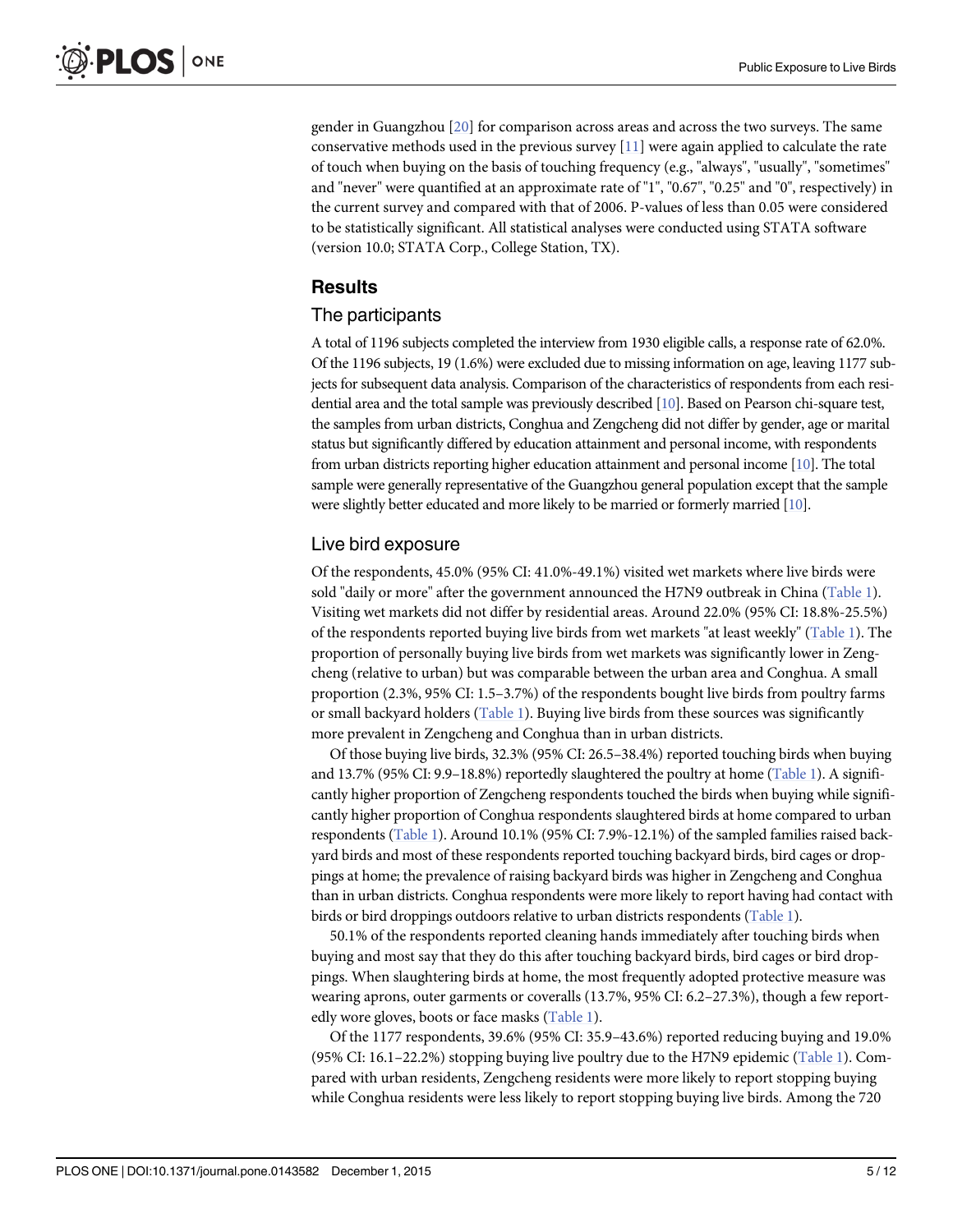<span id="page-4-0"></span>gender in Guangzhou [[20](#page-10-0)] for comparison across areas and across the two surveys. The same conservative methods used in the previous survey  $[11]$  $[11]$  were again applied to calculate the rate of touch when buying on the basis of touching frequency (e.g., "always", "usually", "sometimes" and "never" were quantified at an approximate rate of "1", "0.67", "0.25" and "0", respectively) in the current survey and compared with that of 2006. P-values of less than 0.05 were considered to be statistically significant. All statistical analyses were conducted using STATA software (version 10.0; STATA Corp., College Station, TX).

### Results

#### The participants

A total of 1196 subjects completed the interview from 1930 eligible calls, a response rate of 62.0%. Of the 1196 subjects, 19 (1.6%) were excluded due to missing information on age, leaving 1177 subjects for subsequent data analysis. Comparison of the characteristics of respondents from each residential area and the total sample was previously described [[10\]](#page-10-0). Based on Pearson chi-square test, the samples from urban districts, Conghua and Zengcheng did not differ by gender, age or marital status but significantly differed by education attainment and personal income, with respondents from urban districts reporting higher education attainment and personal income [\[10\]](#page-10-0). The total sample were generally representative of the Guangzhou general population except that the sample were slightly better educated and more likely to be married or formerly married [[10\]](#page-10-0).

#### Live bird exposure

Of the respondents, 45.0% (95% CI: 41.0%-49.1%) visited wet markets where live birds were sold "daily or more" after the government announced the H7N9 outbreak in China ([Table 1\)](#page-5-0). Visiting wet markets did not differ by residential areas. Around 22.0% (95% CI: 18.8%-25.5%) of the respondents reported buying live birds from wet markets "at least weekly" ( $Table 1$ ). The proportion of personally buying live birds from wet markets was significantly lower in Zengcheng (relative to urban) but was comparable between the urban area and Conghua. A small proportion (2.3%, 95% CI: 1.5–3.7%) of the respondents bought live birds from poultry farms or small backyard holders ([Table 1](#page-5-0)). Buying live birds from these sources was significantly more prevalent in Zengcheng and Conghua than in urban districts.

Of those buying live birds, 32.3% (95% CI: 26.5–38.4%) reported touching birds when buying and 13.7% (95% CI: 9.9-18.8%) reportedly slaughtered the poultry at home [\(Table 1\)](#page-5-0). A significantly higher proportion of Zengcheng respondents touched the birds when buying while significantly higher proportion of Conghua respondents slaughtered birds at home compared to urban respondents [\(Table 1\)](#page-5-0). Around 10.1% (95% CI: 7.9%-12.1%) of the sampled families raised backyard birds and most of these respondents reported touching backyard birds, bird cages or droppings at home; the prevalence of raising backyard birds was higher in Zengcheng and Conghua than in urban districts. Conghua respondents were more likely to report having had contact with birds or bird droppings outdoors relative to urban districts respondents ([Table 1](#page-5-0)).

50.1% of the respondents reported cleaning hands immediately after touching birds when buying and most say that they do this after touching backyard birds, bird cages or bird droppings. When slaughtering birds at home, the most frequently adopted protective measure was wearing aprons, outer garments or coveralls (13.7%, 95% CI: 6.2–27.3%), though a few report-edly wore gloves, boots or face masks [\(Table 1](#page-5-0)).

Of the 1177 respondents, 39.6% (95% CI: 35.9–43.6%) reported reducing buying and 19.0% (95% CI: 16.1–22.2%) stopping buying live poultry due to the H7N9 epidemic ([Table 1](#page-5-0)). Compared with urban residents, Zengcheng residents were more likely to report stopping buying while Conghua residents were less likely to report stopping buying live birds. Among the 720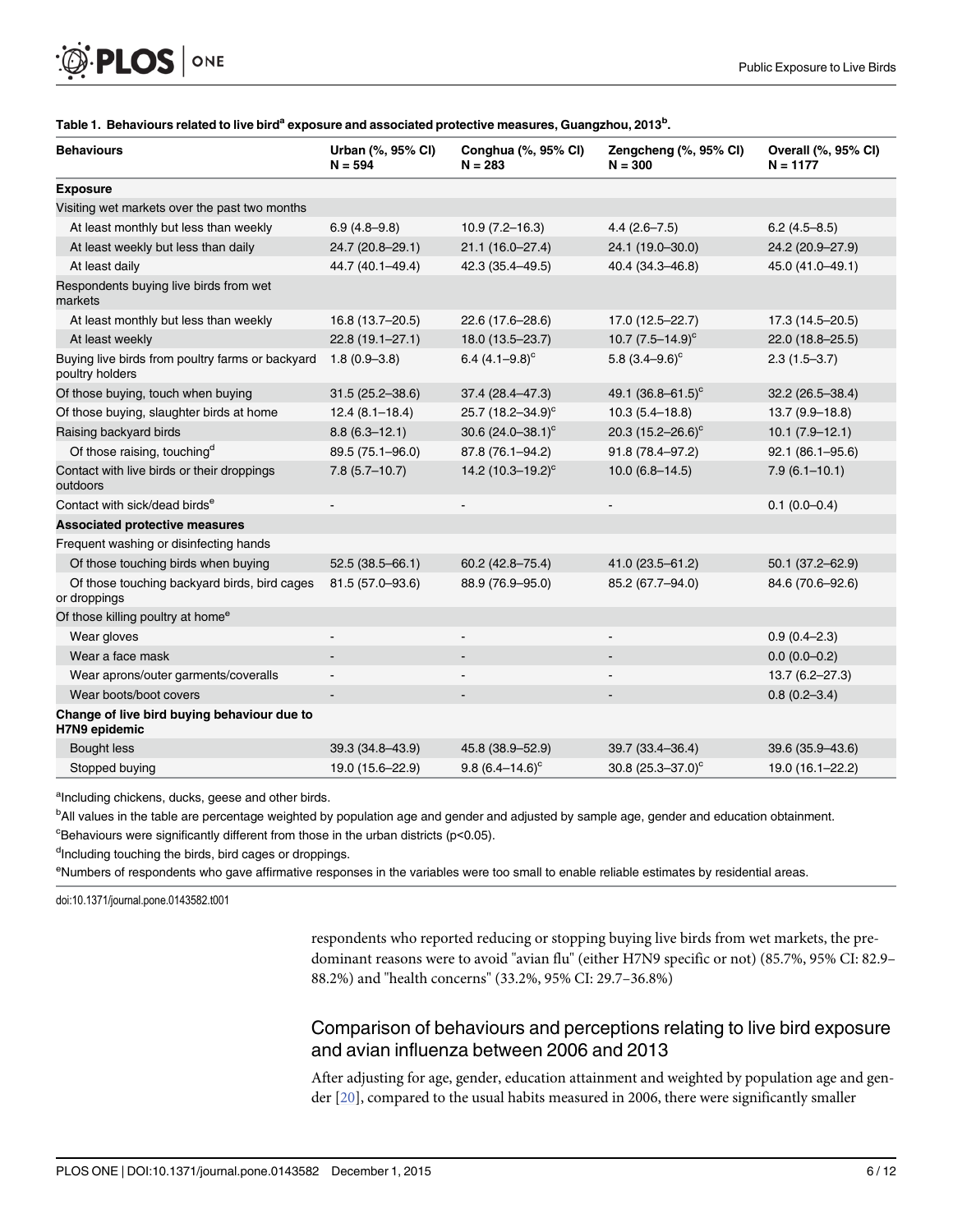<span id="page-5-0"></span>

| <b>Behaviours</b>                                                   | Urban (%, 95% CI)<br>$N = 594$ | Conghua (%, 95% CI)<br>$N = 283$ | Zengcheng (%, 95% CI)<br>$N = 300$ | Overall (%, 95% CI)<br>$N = 1177$ |
|---------------------------------------------------------------------|--------------------------------|----------------------------------|------------------------------------|-----------------------------------|
| <b>Exposure</b>                                                     |                                |                                  |                                    |                                   |
| Visiting wet markets over the past two months                       |                                |                                  |                                    |                                   |
| At least monthly but less than weekly                               | $6.9(4.8-9.8)$                 | $10.9(7.2 - 16.3)$               | $4.4(2.6 - 7.5)$                   | $6.2(4.5 - 8.5)$                  |
| At least weekly but less than daily                                 | 24.7 (20.8-29.1)               | 21.1 (16.0-27.4)                 | 24.1 (19.0-30.0)                   | 24.2 (20.9-27.9)                  |
| At least daily                                                      | 44.7 (40.1-49.4)               | 42.3 (35.4-49.5)                 | 40.4 (34.3-46.8)                   | 45.0 (41.0-49.1)                  |
| Respondents buying live birds from wet<br>markets                   |                                |                                  |                                    |                                   |
| At least monthly but less than weekly                               | 16.8 (13.7-20.5)               | 22.6 (17.6-28.6)                 | 17.0 (12.5-22.7)                   | 17.3 (14.5-20.5)                  |
| At least weekly                                                     | 22.8 (19.1-27.1)               | 18.0 (13.5-23.7)                 | 10.7 $(7.5-14.9)^c$                | 22.0 (18.8-25.5)                  |
| Buying live birds from poultry farms or backyard<br>poultry holders | $1.8(0.9 - 3.8)$               | 6.4 $(4.1-9.8)^c$                | 5.8 $(3.4 - 9.6)^c$                | $2.3(1.5-3.7)$                    |
| Of those buying, touch when buying                                  | $31.5(25.2 - 38.6)$            | 37.4 (28.4-47.3)                 | 49.1 $(36.8 - 61.5)^c$             | $32.2(26.5 - 38.4)$               |
| Of those buying, slaughter birds at home                            | $12.4(8.1 - 18.4)$             | 25.7 $(18.2 - 34.9)^c$           | $10.3(5.4 - 18.8)$                 | $13.7(9.9 - 18.8)$                |
| Raising backyard birds                                              | $8.8(6.3 - 12.1)$              | 30.6 $(24.0 - 38.1)^c$           | 20.3 $(15.2 - 26.6)^c$             | $10.1 (7.9 - 12.1)$               |
| Of those raising, touching <sup>d</sup>                             | 89.5 (75.1-96.0)               | 87.8 (76.1-94.2)                 | 91.8 (78.4-97.2)                   | 92.1 (86.1-95.6)                  |
| Contact with live birds or their droppings<br>outdoors              | $7.8(5.7-10.7)$                | 14.2 $(10.3 - 19.2)^{c}$         | $10.0(6.8 - 14.5)$                 | $7.9(6.1 - 10.1)$                 |
| Contact with sick/dead birds <sup>e</sup>                           |                                |                                  |                                    | $0.1(0.0-0.4)$                    |
| <b>Associated protective measures</b>                               |                                |                                  |                                    |                                   |
| Frequent washing or disinfecting hands                              |                                |                                  |                                    |                                   |
| Of those touching birds when buying                                 | $52.5(38.5 - 66.1)$            | 60.2 (42.8-75.4)                 | 41.0 (23.5-61.2)                   | $50.1(37.2 - 62.9)$               |
| Of those touching backyard birds, bird cages<br>or droppings        | 81.5 (57.0-93.6)               | 88.9 (76.9-95.0)                 | 85.2 (67.7-94.0)                   | 84.6 (70.6-92.6)                  |
| Of those killing poultry at home <sup>e</sup>                       |                                |                                  |                                    |                                   |
| Wear gloves                                                         | $\blacksquare$                 | $\overline{\phantom{a}}$         | $\overline{a}$                     | $0.9(0.4 - 2.3)$                  |
| Wear a face mask                                                    |                                |                                  |                                    | $0.0(0.0-0.2)$                    |
| Wear aprons/outer garments/coveralls                                | $\overline{\phantom{m}}$       |                                  |                                    | $13.7(6.2 - 27.3)$                |
| Wear boots/boot covers                                              |                                | $\overline{\phantom{a}}$         |                                    | $0.8(0.2 - 3.4)$                  |
| Change of live bird buying behaviour due to<br>H7N9 epidemic        |                                |                                  |                                    |                                   |
| <b>Bought less</b>                                                  | 39.3 (34.8-43.9)               | 45.8 (38.9 - 52.9)               | 39.7 (33.4-36.4)                   | 39.6 (35.9 - 43.6)                |
| Stopped buying                                                      | 19.0 (15.6-22.9)               | $9.8(6.4 - 14.6)^c$              | $30.8$ (25.3-37.0) <sup>c</sup>    | 19.0 (16.1-22.2)                  |

#### [Table 1.](#page-4-0) Behaviours related to live bird<sup>a</sup> exposure and associated protective measures, Guangzhou, 2013<sup>b</sup>.

<sup>a</sup>Including chickens, ducks, geese and other birds.

b<br>All values in the table are percentage weighted by population age and gender and adjusted by sample age, gender and education obtainment.  $\textdegree$ Behaviours were significantly different from those in the urban districts (p<0.05).

<sup>d</sup>Including touching the birds, bird cages or droppings.

eNumbers of respondents who gave affirmative responses in the variables were too small to enable reliable estimates by residential areas.

doi:10.1371/journal.pone.0143582.t001

respondents who reported reducing or stopping buying live birds from wet markets, the predominant reasons were to avoid "avian flu" (either H7N9 specific or not) (85.7%, 95% CI: 82.9– 88.2%) and "health concerns" (33.2%, 95% CI: 29.7–36.8%)

## Comparison of behaviours and perceptions relating to live bird exposure and avian influenza between 2006 and 2013

After adjusting for age, gender, education attainment and weighted by population age and gender  $[20]$  $[20]$  $[20]$ , compared to the usual habits measured in 2006, there were significantly smaller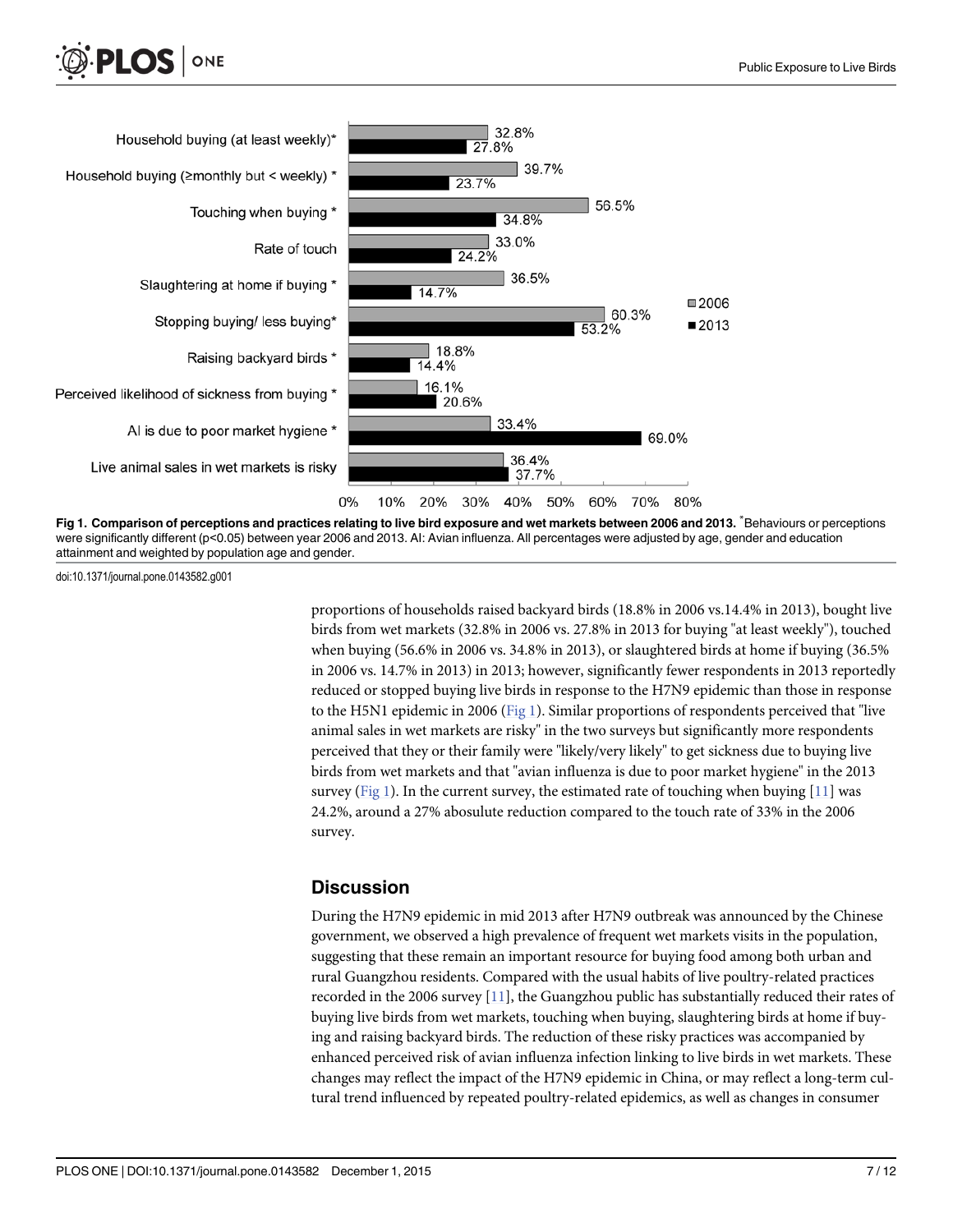



Fig 1. Comparison of perceptions and practices relating to live bird exposure and wet markets between 2006 and 2013. <sup>\*</sup>Behaviours or perceptions were significantly different (p<0.05) between year 2006 and 2013. Al: Avian influenza. All percentages were adjusted by age, gender and education attainment and weighted by population age and gender.

doi:10.1371/journal.pone.0143582.g001

proportions of households raised backyard birds (18.8% in 2006 vs.14.4% in 2013), bought live birds from wet markets (32.8% in 2006 vs. 27.8% in 2013 for buying "at least weekly"), touched when buying (56.6% in 2006 vs. 34.8% in 2013), or slaughtered birds at home if buying (36.5% in 2006 vs. 14.7% in 2013) in 2013; however, significantly fewer respondents in 2013 reportedly reduced or stopped buying live birds in response to the H7N9 epidemic than those in response to the H5N1 epidemic in 2006 ( $Fig 1$ ). Similar proportions of respondents perceived that "live animal sales in wet markets are risky" in the two surveys but significantly more respondents perceived that they or their family were "likely/very likely" to get sickness due to buying live birds from wet markets and that "avian influenza is due to poor market hygiene" in the 2013 survey (Fig 1). In the current survey, the estimated rate of touching when buying  $[11]$  $[11]$  was 24.2%, around a 27% abosulute reduction compared to the touch rate of 33% in the 2006 survey.

#### **Discussion**

During the H7N9 epidemic in mid 2013 after H7N9 outbreak was announced by the Chinese government, we observed a high prevalence of frequent wet markets visits in the population, suggesting that these remain an important resource for buying food among both urban and rural Guangzhou residents. Compared with the usual habits of live poultry-related practices recorded in the 2006 survey [\[11\]](#page-10-0), the Guangzhou public has substantially reduced their rates of buying live birds from wet markets, touching when buying, slaughtering birds at home if buying and raising backyard birds. The reduction of these risky practices was accompanied by enhanced perceived risk of avian influenza infection linking to live birds in wet markets. These changes may reflect the impact of the H7N9 epidemic in China, or may reflect a long-term cultural trend influenced by repeated poultry-related epidemics, as well as changes in consumer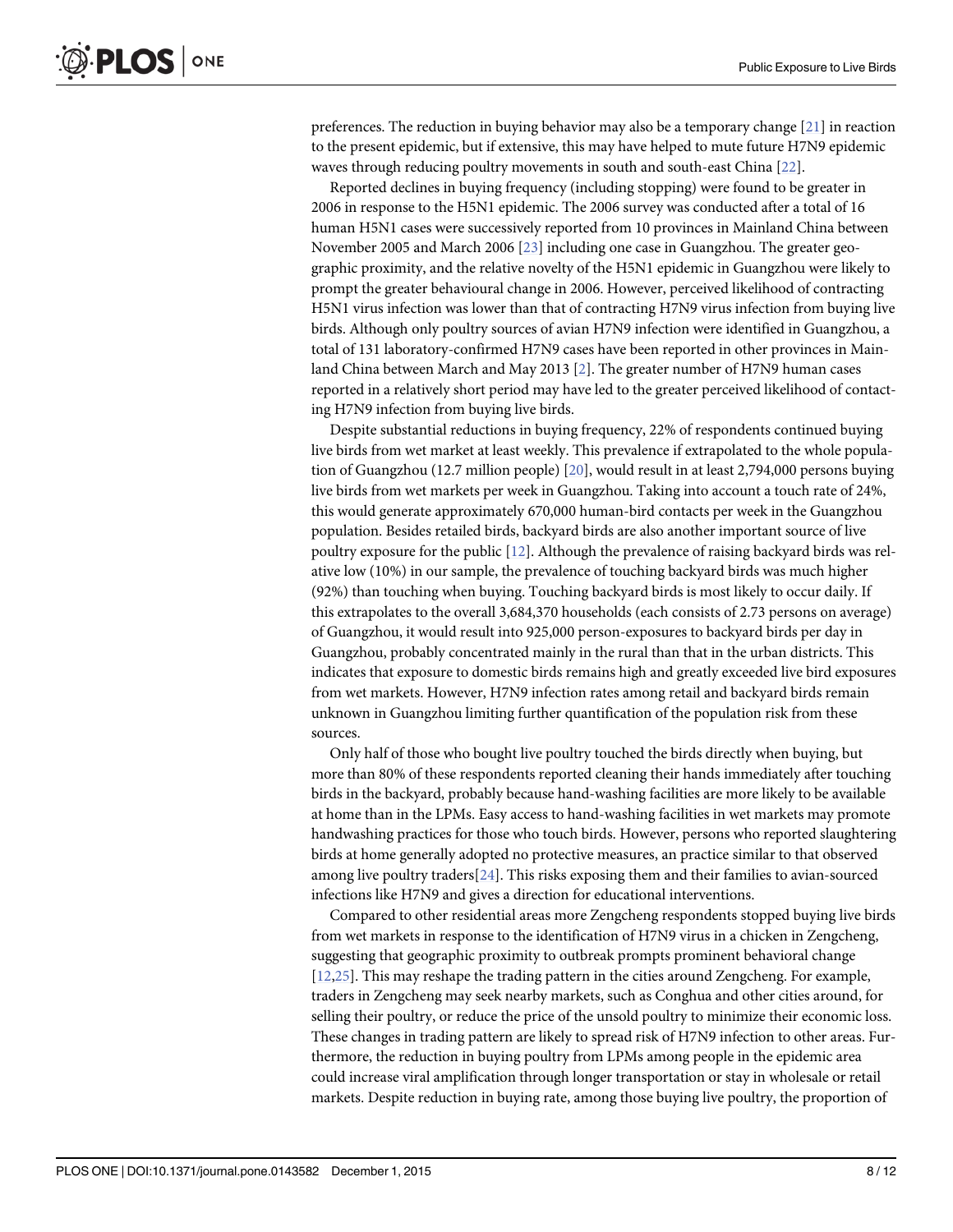<span id="page-7-0"></span>preferences. The reduction in buying behavior may also be a temporary change [[21](#page-10-0)] in reaction to the present epidemic, but if extensive, this may have helped to mute future H7N9 epidemic waves through reducing poultry movements in south and south-east China [\[22\]](#page-11-0).

Reported declines in buying frequency (including stopping) were found to be greater in 2006 in response to the H5N1 epidemic. The 2006 survey was conducted after a total of 16 human H5N1 cases were successively reported from 10 provinces in Mainland China between November 2005 and March 2006 [\[23\]](#page-11-0) including one case in Guangzhou. The greater geographic proximity, and the relative novelty of the H5N1 epidemic in Guangzhou were likely to prompt the greater behavioural change in 2006. However, perceived likelihood of contracting H5N1 virus infection was lower than that of contracting H7N9 virus infection from buying live birds. Although only poultry sources of avian H7N9 infection were identified in Guangzhou, a total of 131 laboratory-confirmed H7N9 cases have been reported in other provinces in Mainland China between March and May 2013 [[2\]](#page-10-0). The greater number of H7N9 human cases reported in a relatively short period may have led to the greater perceived likelihood of contacting H7N9 infection from buying live birds.

Despite substantial reductions in buying frequency, 22% of respondents continued buying live birds from wet market at least weekly. This prevalence if extrapolated to the whole population of Guangzhou (12.7 million people) [[20](#page-10-0)], would result in at least 2,794,000 persons buying live birds from wet markets per week in Guangzhou. Taking into account a touch rate of 24%, this would generate approximately 670,000 human-bird contacts per week in the Guangzhou population. Besides retailed birds, backyard birds are also another important source of live poultry exposure for the public [\[12\]](#page-10-0). Although the prevalence of raising backyard birds was relative low (10%) in our sample, the prevalence of touching backyard birds was much higher (92%) than touching when buying. Touching backyard birds is most likely to occur daily. If this extrapolates to the overall 3,684,370 households (each consists of 2.73 persons on average) of Guangzhou, it would result into 925,000 person-exposures to backyard birds per day in Guangzhou, probably concentrated mainly in the rural than that in the urban districts. This indicates that exposure to domestic birds remains high and greatly exceeded live bird exposures from wet markets. However, H7N9 infection rates among retail and backyard birds remain unknown in Guangzhou limiting further quantification of the population risk from these sources.

Only half of those who bought live poultry touched the birds directly when buying, but more than 80% of these respondents reported cleaning their hands immediately after touching birds in the backyard, probably because hand-washing facilities are more likely to be available at home than in the LPMs. Easy access to hand-washing facilities in wet markets may promote handwashing practices for those who touch birds. However, persons who reported slaughtering birds at home generally adopted no protective measures, an practice similar to that observed among live poultry traders[\[24\]](#page-11-0). This risks exposing them and their families to avian-sourced infections like H7N9 and gives a direction for educational interventions.

Compared to other residential areas more Zengcheng respondents stopped buying live birds from wet markets in response to the identification of H7N9 virus in a chicken in Zengcheng, suggesting that geographic proximity to outbreak prompts prominent behavioral change [\[12](#page-10-0)[,25\]](#page-11-0). This may reshape the trading pattern in the cities around Zengcheng. For example, traders in Zengcheng may seek nearby markets, such as Conghua and other cities around, for selling their poultry, or reduce the price of the unsold poultry to minimize their economic loss. These changes in trading pattern are likely to spread risk of H7N9 infection to other areas. Furthermore, the reduction in buying poultry from LPMs among people in the epidemic area could increase viral amplification through longer transportation or stay in wholesale or retail markets. Despite reduction in buying rate, among those buying live poultry, the proportion of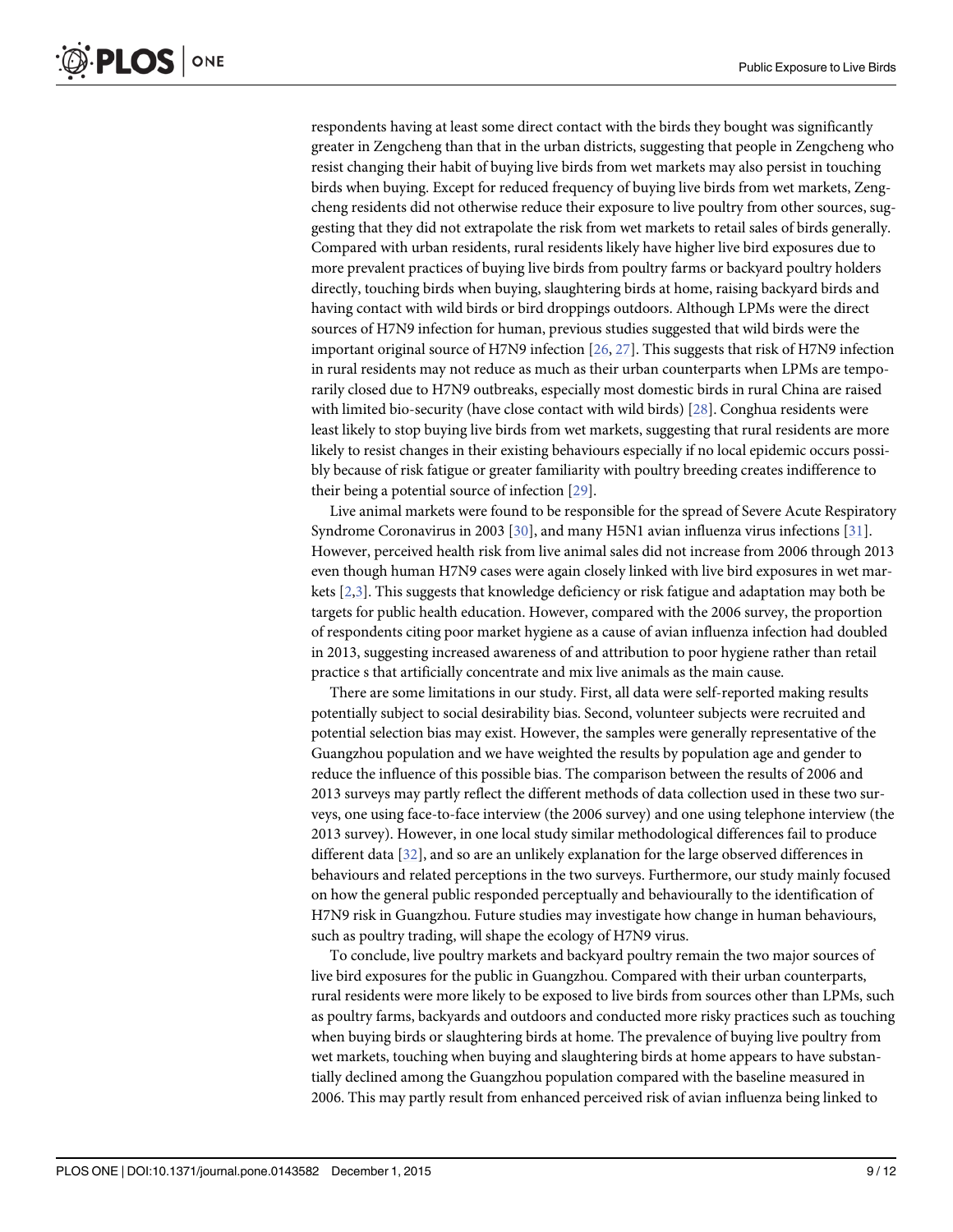<span id="page-8-0"></span>respondents having at least some direct contact with the birds they bought was significantly greater in Zengcheng than that in the urban districts, suggesting that people in Zengcheng who resist changing their habit of buying live birds from wet markets may also persist in touching birds when buying. Except for reduced frequency of buying live birds from wet markets, Zengcheng residents did not otherwise reduce their exposure to live poultry from other sources, suggesting that they did not extrapolate the risk from wet markets to retail sales of birds generally. Compared with urban residents, rural residents likely have higher live bird exposures due to more prevalent practices of buying live birds from poultry farms or backyard poultry holders directly, touching birds when buying, slaughtering birds at home, raising backyard birds and having contact with wild birds or bird droppings outdoors. Although LPMs were the direct sources of H7N9 infection for human, previous studies suggested that wild birds were the important original source of H7N9 infection [[26](#page-11-0), [27](#page-11-0)]. This suggests that risk of H7N9 infection in rural residents may not reduce as much as their urban counterparts when LPMs are temporarily closed due to H7N9 outbreaks, especially most domestic birds in rural China are raised with limited bio-security (have close contact with wild birds) [\[28](#page-11-0)]. Conghua residents were least likely to stop buying live birds from wet markets, suggesting that rural residents are more likely to resist changes in their existing behaviours especially if no local epidemic occurs possibly because of risk fatigue or greater familiarity with poultry breeding creates indifference to their being a potential source of infection [\[29\]](#page-11-0).

Live animal markets were found to be responsible for the spread of Severe Acute Respiratory Syndrome Coronavirus in 2003 [\[30\]](#page-11-0), and many H5N1 avian influenza virus infections [\[31\]](#page-11-0). However, perceived health risk from live animal sales did not increase from 2006 through 2013 even though human H7N9 cases were again closely linked with live bird exposures in wet markets  $[2,3]$  $[2,3]$ . This suggests that knowledge deficiency or risk fatigue and adaptation may both be targets for public health education. However, compared with the 2006 survey, the proportion of respondents citing poor market hygiene as a cause of avian influenza infection had doubled in 2013, suggesting increased awareness of and attribution to poor hygiene rather than retail practice s that artificially concentrate and mix live animals as the main cause.

There are some limitations in our study. First, all data were self-reported making results potentially subject to social desirability bias. Second, volunteer subjects were recruited and potential selection bias may exist. However, the samples were generally representative of the Guangzhou population and we have weighted the results by population age and gender to reduce the influence of this possible bias. The comparison between the results of 2006 and 2013 surveys may partly reflect the different methods of data collection used in these two surveys, one using face-to-face interview (the 2006 survey) and one using telephone interview (the 2013 survey). However, in one local study similar methodological differences fail to produce different data [[32](#page-11-0)], and so are an unlikely explanation for the large observed differences in behaviours and related perceptions in the two surveys. Furthermore, our study mainly focused on how the general public responded perceptually and behaviourally to the identification of H7N9 risk in Guangzhou. Future studies may investigate how change in human behaviours, such as poultry trading, will shape the ecology of H7N9 virus.

To conclude, live poultry markets and backyard poultry remain the two major sources of live bird exposures for the public in Guangzhou. Compared with their urban counterparts, rural residents were more likely to be exposed to live birds from sources other than LPMs, such as poultry farms, backyards and outdoors and conducted more risky practices such as touching when buying birds or slaughtering birds at home. The prevalence of buying live poultry from wet markets, touching when buying and slaughtering birds at home appears to have substantially declined among the Guangzhou population compared with the baseline measured in 2006. This may partly result from enhanced perceived risk of avian influenza being linked to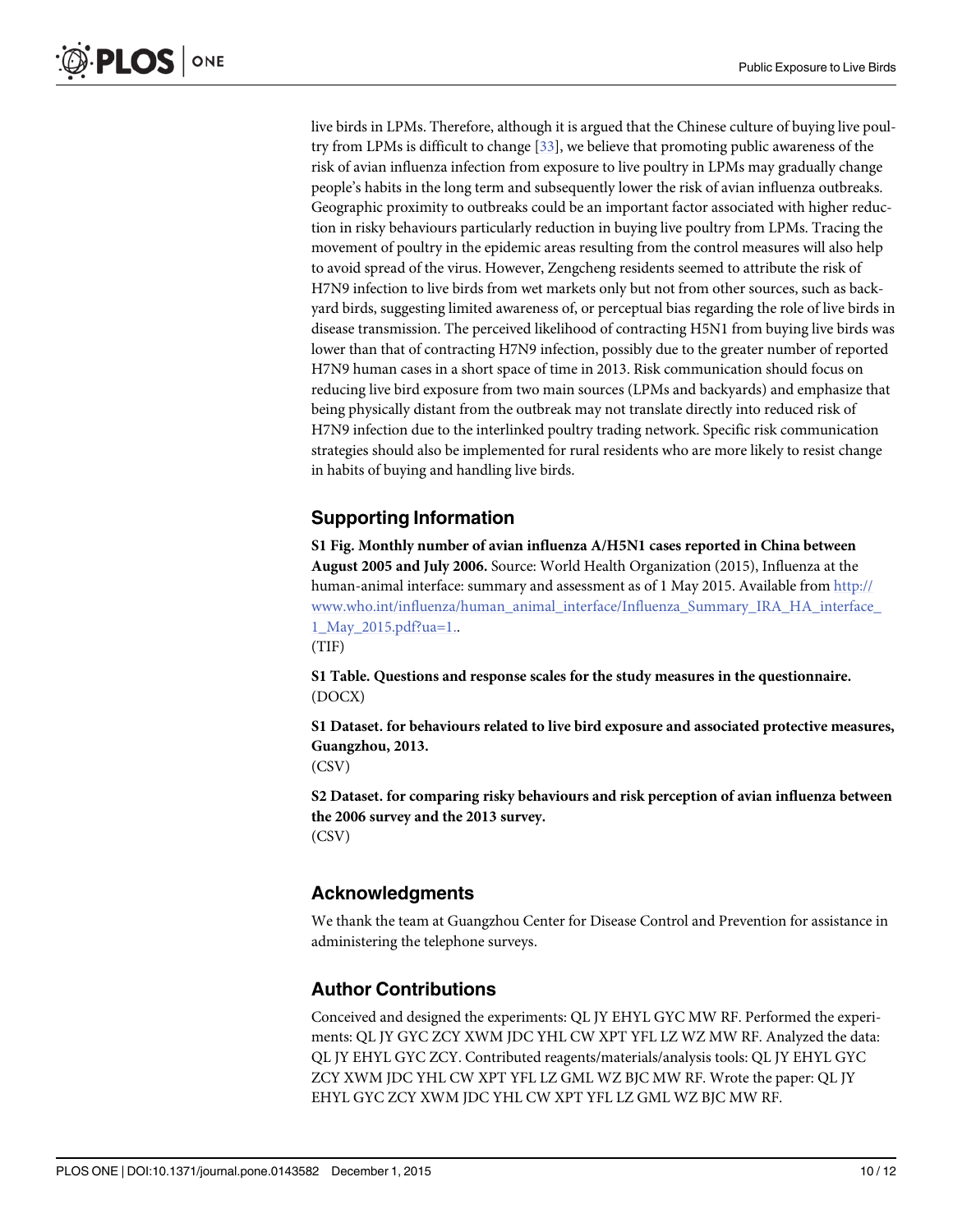<span id="page-9-0"></span>live birds in LPMs. Therefore, although it is argued that the Chinese culture of buying live poultry from LPMs is difficult to change [[33](#page-11-0)], we believe that promoting public awareness of the risk of avian influenza infection from exposure to live poultry in LPMs may gradually change people's habits in the long term and subsequently lower the risk of avian influenza outbreaks. Geographic proximity to outbreaks could be an important factor associated with higher reduction in risky behaviours particularly reduction in buying live poultry from LPMs. Tracing the movement of poultry in the epidemic areas resulting from the control measures will also help to avoid spread of the virus. However, Zengcheng residents seemed to attribute the risk of H7N9 infection to live birds from wet markets only but not from other sources, such as backyard birds, suggesting limited awareness of, or perceptual bias regarding the role of live birds in disease transmission. The perceived likelihood of contracting H5N1 from buying live birds was lower than that of contracting H7N9 infection, possibly due to the greater number of reported H7N9 human cases in a short space of time in 2013. Risk communication should focus on reducing live bird exposure from two main sources (LPMs and backyards) and emphasize that being physically distant from the outbreak may not translate directly into reduced risk of H7N9 infection due to the interlinked poultry trading network. Specific risk communication strategies should also be implemented for rural residents who are more likely to resist change in habits of buying and handling live birds.

# Supporting Information

[S1 Fig.](http://www.plosone.org/article/fetchSingleRepresentation.action?uri=info:doi/10.1371/journal.pone.0143582.s001) Monthly number of avian influenza A/H5N1 cases reported in China between August 2005 and July 2006. Source: World Health Organization (2015), Influenza at the human-animal interface: summary and assessment as of 1 May 2015. Available from [http://](http://www.who.int/influenza/human_animal_interface/Influenza_Summary_IRA_HA_interface_1_May_2015.pdf?ua=1) [www.who.int/influenza/human\\_animal\\_interface/Influenza\\_Summary\\_IRA\\_HA\\_interface\\_](http://www.who.int/influenza/human_animal_interface/Influenza_Summary_IRA_HA_interface_1_May_2015.pdf?ua=1) 1 May 2015.pdf?ua=1..

(TIF)

[S1 Table](http://www.plosone.org/article/fetchSingleRepresentation.action?uri=info:doi/10.1371/journal.pone.0143582.s002). Questions and response scales for the study measures in the questionnaire. (DOCX)

[S1 Dataset.](http://www.plosone.org/article/fetchSingleRepresentation.action?uri=info:doi/10.1371/journal.pone.0143582.s003) for behaviours related to live bird exposure and associated protective measures, Guangzhou, 2013.

(CSV)

[S2 Dataset.](http://www.plosone.org/article/fetchSingleRepresentation.action?uri=info:doi/10.1371/journal.pone.0143582.s004) for comparing risky behaviours and risk perception of avian influenza between the 2006 survey and the 2013 survey. (CSV)

# Acknowledgments

We thank the team at Guangzhou Center for Disease Control and Prevention for assistance in administering the telephone surveys.

# Author Contributions

Conceived and designed the experiments: QL JY EHYL GYC MW RF. Performed the experiments: QL JY GYC ZCY XWM JDC YHL CW XPT YFL LZ WZ MW RF. Analyzed the data: QL JY EHYL GYC ZCY. Contributed reagents/materials/analysis tools: QL JY EHYL GYC ZCY XWM JDC YHL CW XPT YFL LZ GML WZ BJC MW RF. Wrote the paper: QL JY EHYL GYC ZCY XWM JDC YHL CW XPT YFL LZ GML WZ BJC MW RF.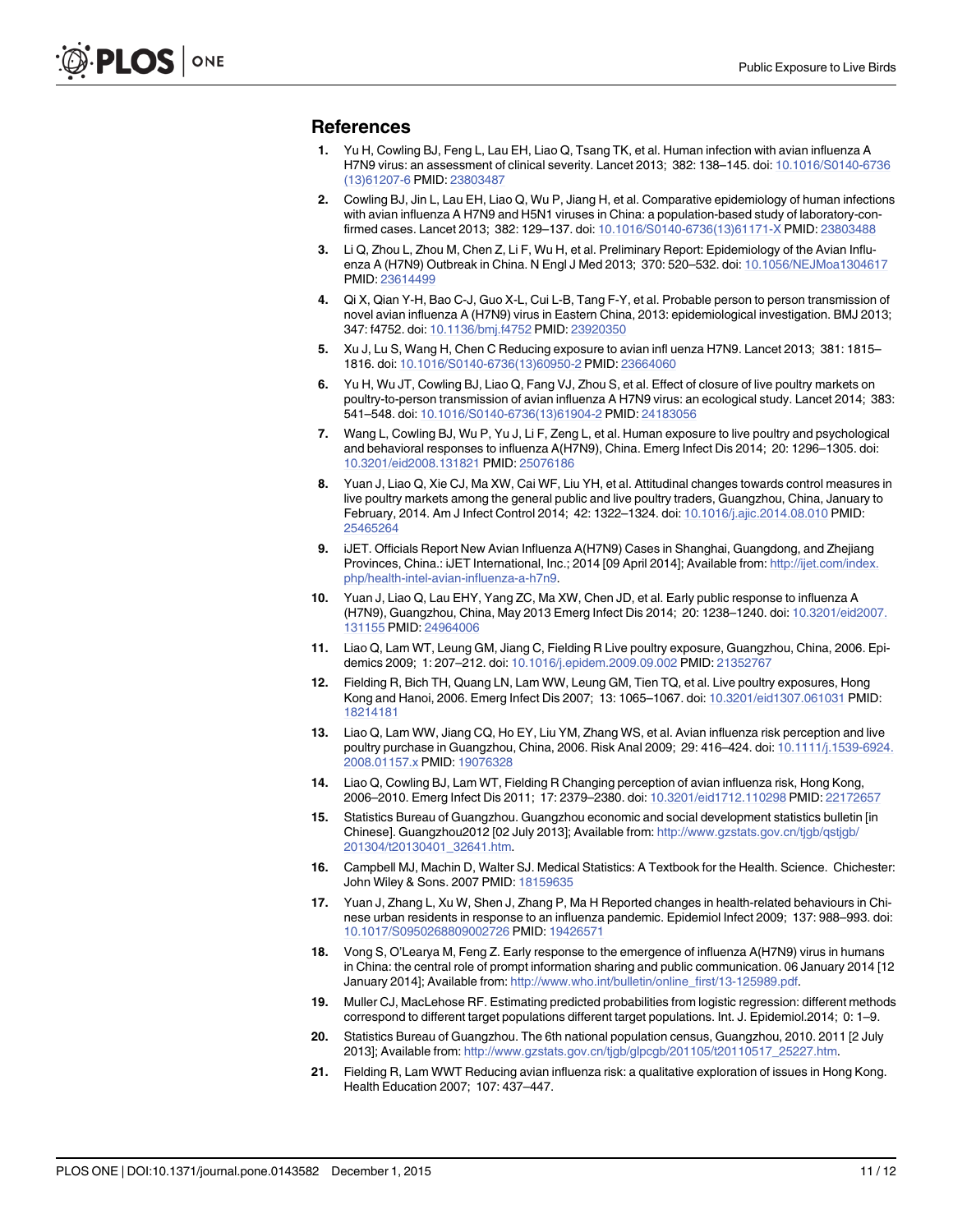#### <span id="page-10-0"></span>References

- [1.](#page-1-0) Yu H, Cowling BJ, Feng L, Lau EH, Liao Q, Tsang TK, et al. Human infection with avian influenza A H7N9 virus: an assessment of clinical severity. Lancet 2013; 382: 138–145. doi: [10.1016/S0140-6736](http://dx.doi.org/10.1016/S0140-6736(13)61207-6) [\(13\)61207-6](http://dx.doi.org/10.1016/S0140-6736(13)61207-6) PMID: [23803487](http://www.ncbi.nlm.nih.gov/pubmed/23803487)
- [2.](#page-1-0) Cowling BJ, Jin L, Lau EH, Liao Q, Wu P, Jiang H, et al. Comparative epidemiology of human infections with avian influenza A H7N9 and H5N1 viruses in China: a population-based study of laboratory-confirmed cases. Lancet 2013; 382: 129–137. doi: [10.1016/S0140-6736\(13\)61171-X](http://dx.doi.org/10.1016/S0140-6736(13)61171-X) PMID: [23803488](http://www.ncbi.nlm.nih.gov/pubmed/23803488)
- [3.](#page-1-0) Li Q, Zhou L, Zhou M, Chen Z, Li F, Wu H, et al. Preliminary Report: Epidemiology of the Avian Influenza A (H7N9) Outbreak in China. N Engl J Med 2013; 370: 520–532. doi: [10.1056/NEJMoa1304617](http://dx.doi.org/10.1056/NEJMoa1304617) PMID: [23614499](http://www.ncbi.nlm.nih.gov/pubmed/23614499)
- [4.](#page-1-0) Qi X, Qian Y-H, Bao C-J, Guo X-L, Cui L-B, Tang F-Y, et al. Probable person to person transmission of novel avian influenza A (H7N9) virus in Eastern China, 2013: epidemiological investigation. BMJ 2013; 347: f4752. doi: [10.1136/bmj.f4752](http://dx.doi.org/10.1136/bmj.f4752) PMID: [23920350](http://www.ncbi.nlm.nih.gov/pubmed/23920350)
- [5.](#page-1-0) Xu J, Lu S, Wang H, Chen C Reducing exposure to avian infl uenza H7N9. Lancet 2013; 381: 1815– 1816. doi: [10.1016/S0140-6736\(13\)60950-2](http://dx.doi.org/10.1016/S0140-6736(13)60950-2) PMID: [23664060](http://www.ncbi.nlm.nih.gov/pubmed/23664060)
- [6.](#page-1-0) Yu H, Wu JT, Cowling BJ, Liao Q, Fang VJ, Zhou S, et al. Effect of closure of live poultry markets on poultry-to-person transmission of avian influenza A H7N9 virus: an ecological study. Lancet 2014; 383: 541–548. doi: [10.1016/S0140-6736\(13\)61904-2](http://dx.doi.org/10.1016/S0140-6736(13)61904-2) PMID: [24183056](http://www.ncbi.nlm.nih.gov/pubmed/24183056)
- [7.](#page-1-0) Wang L, Cowling BJ, Wu P, Yu J, Li F, Zeng L, et al. Human exposure to live poultry and psychological and behavioral responses to influenza A(H7N9), China. Emerg Infect Dis 2014; 20: 1296–1305. doi: [10.3201/eid2008.131821](http://dx.doi.org/10.3201/eid2008.131821) PMID: [25076186](http://www.ncbi.nlm.nih.gov/pubmed/25076186)
- [8.](#page-1-0) Yuan J, Liao Q, Xie CJ, Ma XW, Cai WF, Liu YH, et al. Attitudinal changes towards control measures in live poultry markets among the general public and live poultry traders, Guangzhou, China, January to February, 2014. Am J Infect Control 2014; 42: 1322–1324. doi: [10.1016/j.ajic.2014.08.010](http://dx.doi.org/10.1016/j.ajic.2014.08.010) PMID: [25465264](http://www.ncbi.nlm.nih.gov/pubmed/25465264)
- [9.](#page-1-0) iJET. Officials Report New Avian Influenza A(H7N9) Cases in Shanghai, Guangdong, and Zhejiang Provinces, China.: iJET International, Inc.; 2014 [09 April 2014]; Available from: [http://ijet.com/index.](http://ijet.com/index.php/health-intel-avian-influenza-a-h7n9) [php/health-intel-avian-influenza-a-h7n9.](http://ijet.com/index.php/health-intel-avian-influenza-a-h7n9)
- [10.](#page-1-0) Yuan J, Liao Q, Lau EHY, Yang ZC, Ma XW, Chen JD, et al. Early public response to influenza A (H7N9), Guangzhou, China, May 2013 Emerg Infect Dis 2014; 20: 1238–1240. doi: [10.3201/eid2007.](http://dx.doi.org/10.3201/eid2007.131155) [131155](http://dx.doi.org/10.3201/eid2007.131155) PMID: [24964006](http://www.ncbi.nlm.nih.gov/pubmed/24964006)
- [11.](#page-2-0) Liao Q, Lam WT, Leung GM, Jiang C, Fielding R Live poultry exposure, Guangzhou, China, 2006. Epidemics 2009; 1: 207–212. doi: [10.1016/j.epidem.2009.09.002](http://dx.doi.org/10.1016/j.epidem.2009.09.002) PMID: [21352767](http://www.ncbi.nlm.nih.gov/pubmed/21352767)
- [12.](#page-2-0) Fielding R, Bich TH, Quang LN, Lam WW, Leung GM, Tien TQ, et al. Live poultry exposures, Hong Kong and Hanoi, 2006. Emerg Infect Dis 2007; 13: 1065–1067. doi: [10.3201/eid1307.061031](http://dx.doi.org/10.3201/eid1307.061031) PMID: [18214181](http://www.ncbi.nlm.nih.gov/pubmed/18214181)
- [13.](#page-2-0) Liao Q, Lam WW, Jiang CQ, Ho EY, Liu YM, Zhang WS, et al. Avian influenza risk perception and live poultry purchase in Guangzhou, China, 2006. Risk Anal 2009; 29: 416–424. doi: [10.1111/j.1539-6924.](http://dx.doi.org/10.1111/j.1539-6924.2008.01157.x) [2008.01157.x](http://dx.doi.org/10.1111/j.1539-6924.2008.01157.x) PMID: [19076328](http://www.ncbi.nlm.nih.gov/pubmed/19076328)
- [14.](#page-2-0) Liao Q, Cowling BJ, Lam WT, Fielding R Changing perception of avian influenza risk, Hong Kong, 2006–2010. Emerg Infect Dis 2011; 17: 2379–2380. doi: [10.3201/eid1712.110298](http://dx.doi.org/10.3201/eid1712.110298) PMID: [22172657](http://www.ncbi.nlm.nih.gov/pubmed/22172657)
- [15.](#page-2-0) Statistics Bureau of Guangzhou. Guangzhou economic and social development statistics bulletin [in Chinese]. Guangzhou2012 [02 July 2013]; Available from: [http://www.gzstats.gov.cn/tjgb/qstjgb/](http://www.gzstats.gov.cn/tjgb/qstjgb/201304/t20130401_32641.htm) [201304/t20130401\\_32641.htm.](http://www.gzstats.gov.cn/tjgb/qstjgb/201304/t20130401_32641.htm)
- [16.](#page-2-0) Campbell MJ, Machin D, Walter SJ. Medical Statistics: A Textbook for the Health. Science. Chichester: John Wiley & Sons. 2007 PMID: [18159635](http://www.ncbi.nlm.nih.gov/pubmed/18159635)
- [17.](#page-3-0) Yuan J, Zhang L, Xu W, Shen J, Zhang P, Ma H Reported changes in health-related behaviours in Chinese urban residents in response to an influenza pandemic. Epidemiol Infect 2009; 137: 988–993. doi: [10.1017/S0950268809002726](http://dx.doi.org/10.1017/S0950268809002726) PMID: [19426571](http://www.ncbi.nlm.nih.gov/pubmed/19426571)
- [18.](#page-3-0) Vong S, O'Learya M, Feng Z. Early response to the emergence of influenza A(H7N9) virus in humans in China: the central role of prompt information sharing and public communication. 06 January 2014 [12 January 2014]; Available from: [http://www.who.int/bulletin/online\\_first/13-125989.pdf.](http://www.who.int/bulletin/online_first/13-125989.pdf)
- [19.](#page-3-0) Muller CJ, MacLehose RF. Estimating predicted probabilities from logistic regression: different methods correspond to different target populations different target populations. Int. J. Epidemiol.2014; 0: 1–9.
- [20.](#page-4-0) Statistics Bureau of Guangzhou. The 6th national population census, Guangzhou, 2010. 2011 [2 July 2013]; Available from: [http://www.gzstats.gov.cn/tjgb/glpcgb/201105/t20110517\\_25227.htm.](http://www.gzstats.gov.cn/tjgb/glpcgb/201105/t20110517_25227.htm)
- [21.](#page-7-0) Fielding R, Lam WWT Reducing avian influenza risk: a qualitative exploration of issues in Hong Kong. Health Education 2007; 107: 437–447.